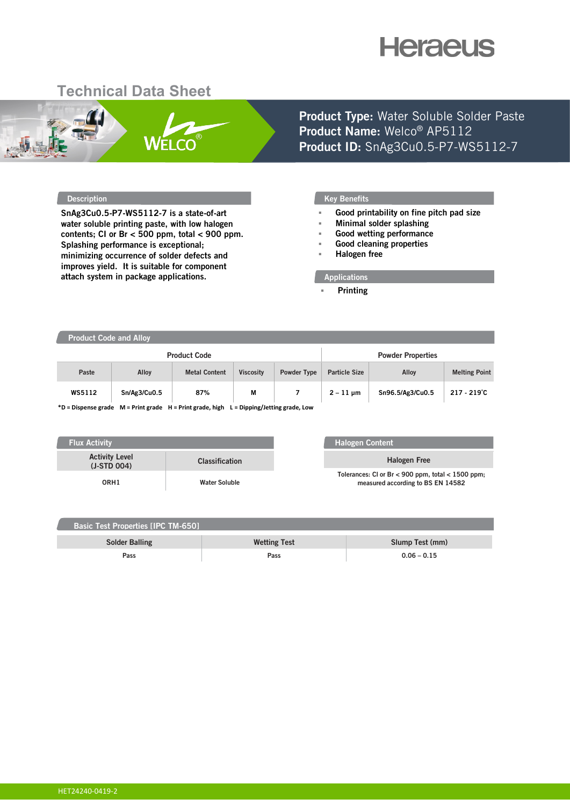# **Heraeus**

## **Technical Data Sheet**



**Product Type:** Water Soluble Solder Paste **Product Name:** Welco® AP5112 **Product ID:** SnAg3Cu0.5-P7-WS5112-7

**SnAg3Cu0.5-P7-WS5112-7 is a state-of-art water soluble printing paste, with low halogen contents; CI or Br < 500 ppm, total < 900 ppm. Splashing performance is exceptional; minimizing occurrence of solder defects and improves yield. It is suitable for component attach system in package applications.**

#### **Description CONSIDERED AT A RESIDENT CONSIDERED AT A RESIDENCE OF A RESIDENT CONSIDERED AT A RESIDENT CONSIDERED AT A RESIDENT CONSIDERED AT A RESIDENT CONSIDERED AT A RESIDENCE OF A RESIDENT CONSIDERED AT A RESIDENT CO**

- **Good printability on fine pitch pad size**
- **Minimal solder splashing**
- **Good wetting performance**
- **Good cleaning properties**
- **Halogen free**

#### **Applications**

**Printing**

### **Product Code and Alloy**

| <b>Product Code</b>                                                                                                                                   |              |                      |                  |             | <b>Powder Properties</b> |                  |                      |
|-------------------------------------------------------------------------------------------------------------------------------------------------------|--------------|----------------------|------------------|-------------|--------------------------|------------------|----------------------|
| Paste                                                                                                                                                 | Alloy        | <b>Metal Content</b> | <b>Viscosity</b> | Powder Type | <b>Particle Size</b>     | Alloy            | <b>Melting Point</b> |
| WS5112                                                                                                                                                | Sn/Ag3/Cu0.5 | 87%                  | M                |             | $2 - 11$ µm              | Sn96.5/Ag3/Cu0.5 | $217 - 219^{\circ}C$ |
| $*D = Diagonal$ and $A = D \cdot A$ and $A = D \cdot A$ and $A = D \cdot A$ and $A = D \cdot A$ is $A = D \cdot A$ is $A \cdot A$ and $A = D \cdot A$ |              |                      |                  |             |                          |                  |                      |

**\*D = Dispense grade M = Print grade H = Print grade, high L = Dipping/Jetting grade, Low**

| <b>Flux Activity</b>                   |                       |
|----------------------------------------|-----------------------|
| <b>Activity Level</b><br>$(J-STD 004)$ | <b>Classification</b> |
| ORH1                                   | <b>Water Soluble</b>  |

#### **Halogen Content**

**Halogen Free Tolerances: Cl or Br < 900 ppm, total < 1500 ppm; measured according to BS EN 14582**

| <b>Basic Test Properties [IPC TM-650]</b> |                     |                 |  |  |  |  |  |
|-------------------------------------------|---------------------|-----------------|--|--|--|--|--|
| <b>Solder Balling</b>                     | <b>Wetting Test</b> | Slump Test (mm) |  |  |  |  |  |
| Pass                                      | Pass                | $0.06 - 0.15$   |  |  |  |  |  |